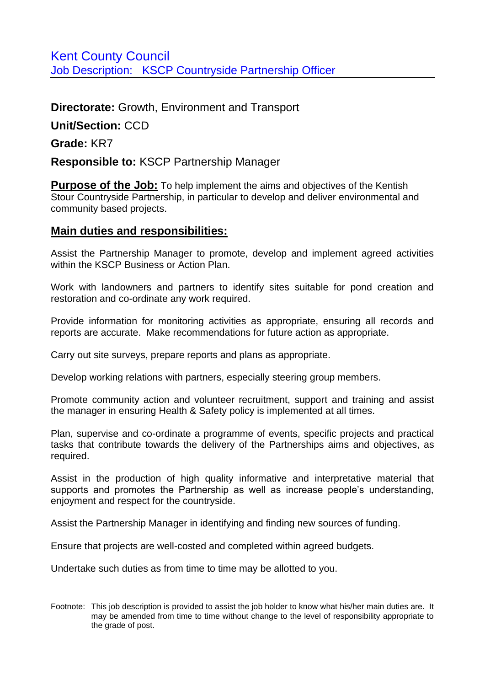## **Directorate:** Growth, Environment and Transport

**Unit/Section:** CCD

**Grade:** KR7

## **Responsible to:** KSCP Partnership Manager

**Purpose of the Job:** To help implement the aims and objectives of the Kentish Stour Countryside Partnership, in particular to develop and deliver environmental and community based projects.

## **Main duties and responsibilities:**

Assist the Partnership Manager to promote, develop and implement agreed activities within the KSCP Business or Action Plan.

Work with landowners and partners to identify sites suitable for pond creation and restoration and co-ordinate any work required.

Provide information for monitoring activities as appropriate, ensuring all records and reports are accurate. Make recommendations for future action as appropriate.

Carry out site surveys, prepare reports and plans as appropriate.

Develop working relations with partners, especially steering group members.

Promote community action and volunteer recruitment, support and training and assist the manager in ensuring Health & Safety policy is implemented at all times.

Plan, supervise and co-ordinate a programme of events, specific projects and practical tasks that contribute towards the delivery of the Partnerships aims and objectives, as required.

Assist in the production of high quality informative and interpretative material that supports and promotes the Partnership as well as increase people's understanding, enjoyment and respect for the countryside.

Assist the Partnership Manager in identifying and finding new sources of funding.

Ensure that projects are well-costed and completed within agreed budgets.

Undertake such duties as from time to time may be allotted to you.

Footnote: This job description is provided to assist the job holder to know what his/her main duties are. It may be amended from time to time without change to the level of responsibility appropriate to the grade of post.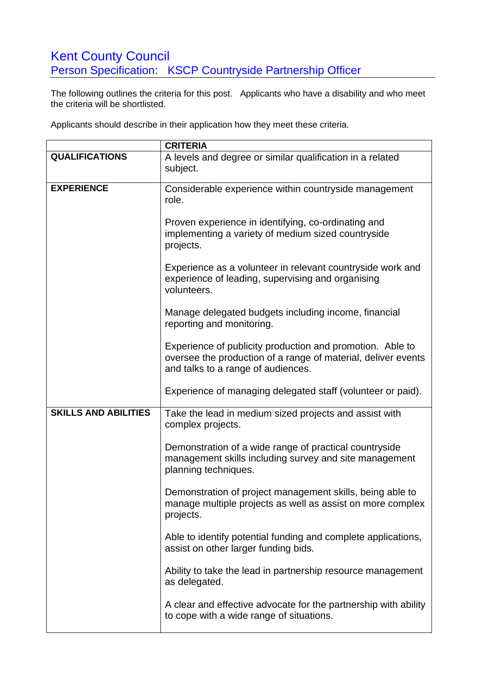## Kent County Council Person Specification: KSCP Countryside Partnership Officer

The following outlines the criteria for this post. Applicants who have a disability and who meet the criteria will be shortlisted.

Applicants should describe in their application how they meet these criteria.

|                             | <b>CRITERIA</b>                                                                                                                                                  |
|-----------------------------|------------------------------------------------------------------------------------------------------------------------------------------------------------------|
| <b>QUALIFICATIONS</b>       | A levels and degree or similar qualification in a related                                                                                                        |
|                             | subject.                                                                                                                                                         |
| <b>EXPERIENCE</b>           | Considerable experience within countryside management<br>role.                                                                                                   |
|                             | Proven experience in identifying, co-ordinating and<br>implementing a variety of medium sized countryside<br>projects.                                           |
|                             | Experience as a volunteer in relevant countryside work and<br>experience of leading, supervising and organising<br>volunteers.                                   |
|                             | Manage delegated budgets including income, financial<br>reporting and monitoring.                                                                                |
|                             | Experience of publicity production and promotion. Able to<br>oversee the production of a range of material, deliver events<br>and talks to a range of audiences. |
|                             | Experience of managing delegated staff (volunteer or paid).                                                                                                      |
| <b>SKILLS AND ABILITIES</b> | Take the lead in medium sized projects and assist with<br>complex projects.                                                                                      |
|                             | Demonstration of a wide range of practical countryside<br>management skills including survey and site management<br>planning techniques.                         |
|                             | Demonstration of project management skills, being able to<br>manage multiple projects as well as assist on more complex<br>projects.                             |
|                             | Able to identify potential funding and complete applications,<br>assist on other larger funding bids.                                                            |
|                             | Ability to take the lead in partnership resource management<br>as delegated.                                                                                     |
|                             | A clear and effective advocate for the partnership with ability<br>to cope with a wide range of situations.                                                      |